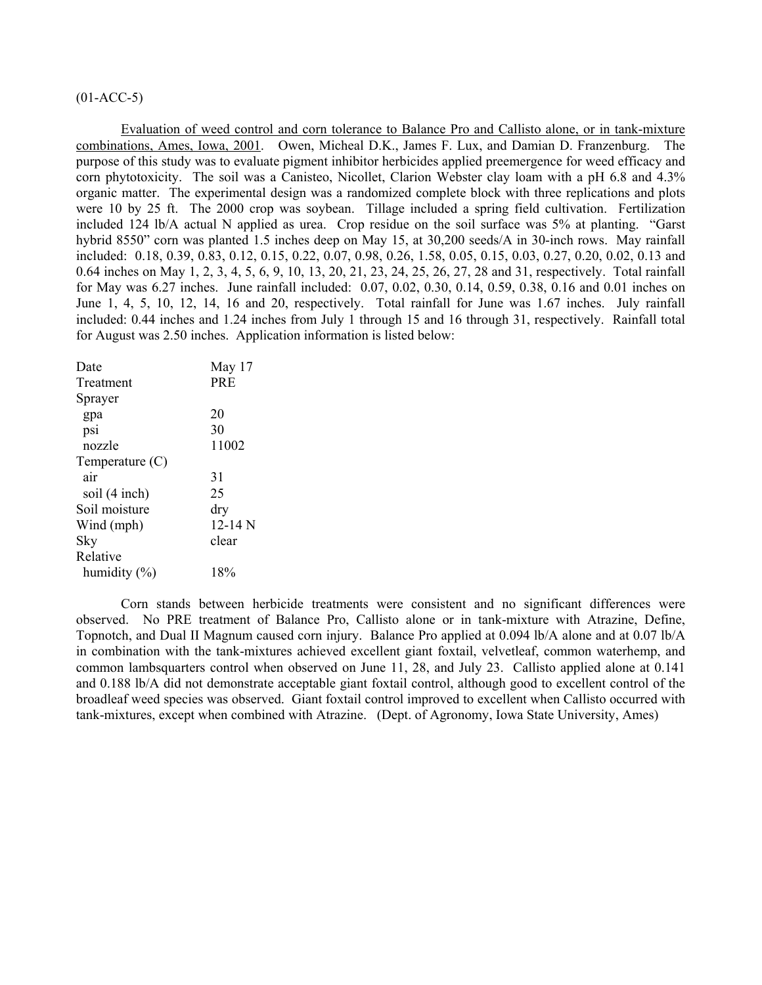# $(01-ACC-5)$

Evaluation of weed control and corn tolerance to Balance Pro and Callisto alone, or in tank-mixture combinations, Ames, Iowa, 2001. Owen, Micheal D.K., James F. Lux, and Damian D. Franzenburg. The purpose of this study was to evaluate pigment inhibitor herbicides applied preemergence for weed efficacy and corn phytotoxicity. The soil was a Canisteo, Nicollet, Clarion Webster clay loam with a pH 6.8 and 4.3% organic matter. The experimental design was a randomized complete block with three replications and plots were 10 by 25 ft. The 2000 crop was soybean. Tillage included a spring field cultivation. Fertilization included 124 lb/A actual N applied as urea. Crop residue on the soil surface was 5% at planting. "Garst hybrid 8550" corn was planted 1.5 inches deep on May 15, at 30,200 seeds/A in 30-inch rows. May rainfall included: 0.18, 0.39, 0.83, 0.12, 0.15, 0.22, 0.07, 0.98, 0.26, 1.58, 0.05, 0.15, 0.03, 0.27, 0.20, 0.02, 0.13 and 0.64 inches on May 1, 2, 3, 4, 5, 6, 9, 10, 13, 20, 21, 23, 24, 25, 26, 27, 28 and 31, respectively. Total rainfall for May was 6.27 inches. June rainfall included: 0.07, 0.02, 0.30, 0.14, 0.59, 0.38, 0.16 and 0.01 inches on June 1, 4, 5, 10, 12, 14, 16 and 20, respectively. Total rainfall for June was 1.67 inches. July rainfall included: 0.44 inches and 1.24 inches from July 1 through 15 and 16 through 31, respectively. Rainfall total for August was 2.50 inches. Application information is listed below:

| Date              | May 17     |
|-------------------|------------|
| Treatment         | <b>PRE</b> |
| Sprayer           |            |
| gpa               | 20         |
| psi               | 30         |
| nozzle            | 11002      |
| Temperature $(C)$ |            |
| air               | 31         |
| soil (4 inch)     | 25         |
| Soil moisture     | dry        |
| Wind (mph)        | 12-14 $N$  |
| Sky               | clear      |
| Relative          |            |
| humidity $(\% )$  | 18%        |

 Corn stands between herbicide treatments were consistent and no significant differences were observed. No PRE treatment of Balance Pro, Callisto alone or in tank-mixture with Atrazine, Define, Topnotch, and Dual II Magnum caused corn injury. Balance Pro applied at 0.094 lb/A alone and at 0.07 lb/A in combination with the tank-mixtures achieved excellent giant foxtail, velvetleaf, common waterhemp, and common lambsquarters control when observed on June 11, 28, and July 23. Callisto applied alone at 0.141 and 0.188 lb/A did not demonstrate acceptable giant foxtail control, although good to excellent control of the broadleaf weed species was observed. Giant foxtail control improved to excellent when Callisto occurred with tank-mixtures, except when combined with Atrazine. (Dept. of Agronomy, Iowa State University, Ames)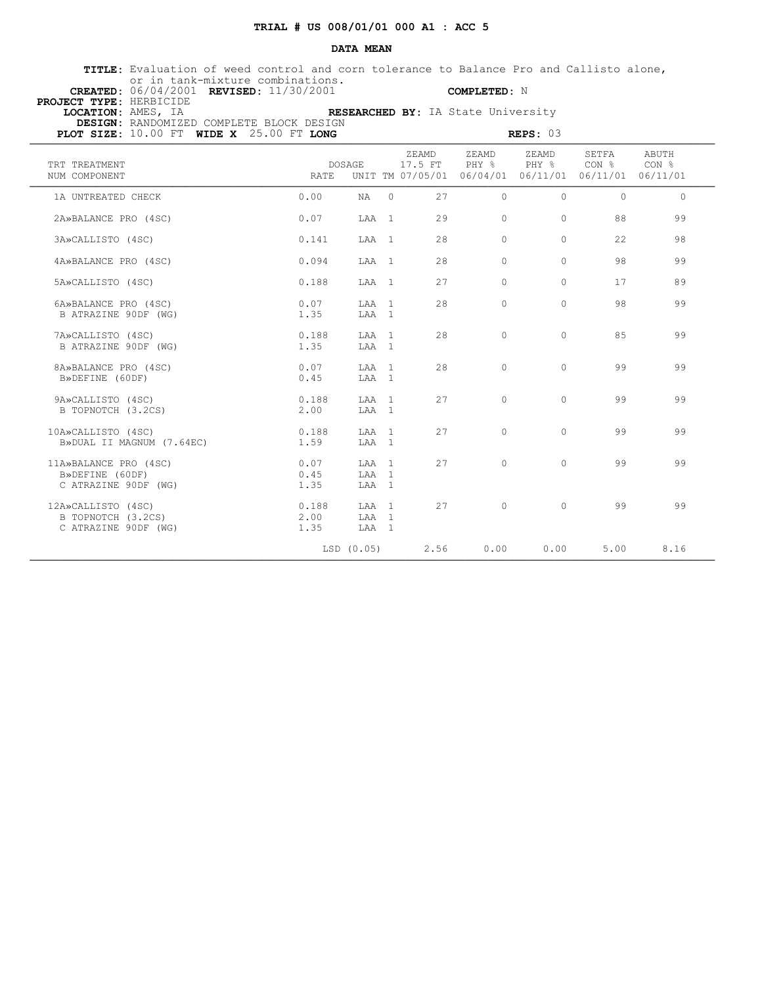### **DATA MEAN**

 **TITLE:** Evaluation of weed control and corn tolerance to Balance Pro and Callisto alone, or in tank-mixture combinations.

 **CREATED:** 06/04/2001 **REVISED:** 11/30/2001 **COMPLETED:** N

| PROJECT TYPE: HERBICIDE |                                              |                                    |
|-------------------------|----------------------------------------------|------------------------------------|
| LOCATION: AMES, IA      |                                              | RESEARCHED BY: IA State University |
|                         | DESIGN: RANDOMIZED COMPLETE BLOCK DESIGN     |                                    |
|                         | PLOT SIZE: $10.00$ FT WIDE X $25.00$ FT LONG | REPS: 03                           |

| PLOT SIZE: 10.00 FT WIDE X 25.00 FT LONG                         |                       | REPS: 03                |         |                  |                                                                        |                |                           |                |  |
|------------------------------------------------------------------|-----------------------|-------------------------|---------|------------------|------------------------------------------------------------------------|----------------|---------------------------|----------------|--|
| TRT TREATMENT<br>NUM COMPONENT                                   | <b>RATE</b>           | DOSAGE                  |         | ZEAMD<br>17.5 FT | ZEAMD<br>PHY %<br>UNIT TM 07/05/01 06/04/01 06/11/01 06/11/01 06/11/01 | ZEAMD<br>PHY % | SETFA<br>CON <sub>8</sub> | ABUTH<br>CON % |  |
| 1A UNTREATED CHECK                                               | 0.00                  | NA                      | $\circ$ | 27               | $\Omega$                                                               | $\Omega$       | $\Omega$                  | $\circ$        |  |
| 2A»BALANCE PRO (4SC)                                             | 0.07                  | LAA 1                   |         | 29               | $\Omega$                                                               | $\circ$        | 88                        | 99             |  |
| 3A»CALLISTO (4SC)                                                | 0.141                 | LAA 1                   |         | 28               | $\Omega$                                                               | $\Omega$       | 22                        | 98             |  |
| 4A»BALANCE PRO (4SC)                                             | 0.094                 | LAA 1                   |         | 28               | $\cap$                                                                 | $\cap$         | 98                        | 99             |  |
| 5A»CALLISTO (4SC)                                                | 0.188                 | LAA 1                   |         | 27               | $\cap$                                                                 | $\Omega$       | 17                        | 89             |  |
| 6A»BALANCE PRO (4SC)<br>B ATRAZINE 90DF (WG)                     | 0.07<br>1.35          | LAA 1<br>LAA 1          |         | 28               | $\Omega$                                                               | $\Omega$       | 98                        | 99             |  |
| 7A»CALLISTO (4SC)<br>B ATRAZINE 90DF (WG)                        | 0.188<br>1.35         | LAA 1<br>LAA 1          |         | 28               | $\bigcap$                                                              | $\Omega$       | 85                        | 99             |  |
| 8A»BALANCE PRO (4SC)<br>B»DEFINE (60DF)                          | 0.07<br>0.45          | LAA 1<br>LAA 1          |         | 28               | $\bigcirc$                                                             | $\Omega$       | 99                        | 99             |  |
| 9A»CALLISTO (4SC)<br>B TOPNOTCH (3.2CS)                          | 0.188<br>2.00         | T.AA 1<br>LAA 1         |         | 2.7              | $\Omega$                                                               | $\Omega$       | 99                        | 99             |  |
| 10A»CALLISTO (4SC)<br>B»DUAL II MAGNUM (7.64EC)                  | 0.188<br>1.59         | LAA 1<br>LAA 1          |         | 27               | $\Omega$                                                               | $\Omega$       | 99                        | 99             |  |
| 11A»BALANCE PRO (4SC)<br>B»DEFINE (60DF)<br>C ATRAZINE 90DF (WG) | 0.07<br>0.45<br>1.35  | LAA 1<br>LAA 1<br>LAA 1 |         | 2.7              | $\bigcap$                                                              | $\Omega$       | 99                        | 99             |  |
| 12A»CALLISTO (4SC)<br>B TOPNOTCH (3.2CS)<br>C ATRAZINE 90DF (WG) | 0.188<br>2.00<br>1.35 | LAA 1<br>LAA 1<br>LAA 1 |         | 27               | $\bigcirc$                                                             | $\Omega$       | 99                        | 99             |  |
|                                                                  |                       | LSD (0.05)              |         | 2.56             | 0.00                                                                   | 0.00           | 5.00                      | 8.16           |  |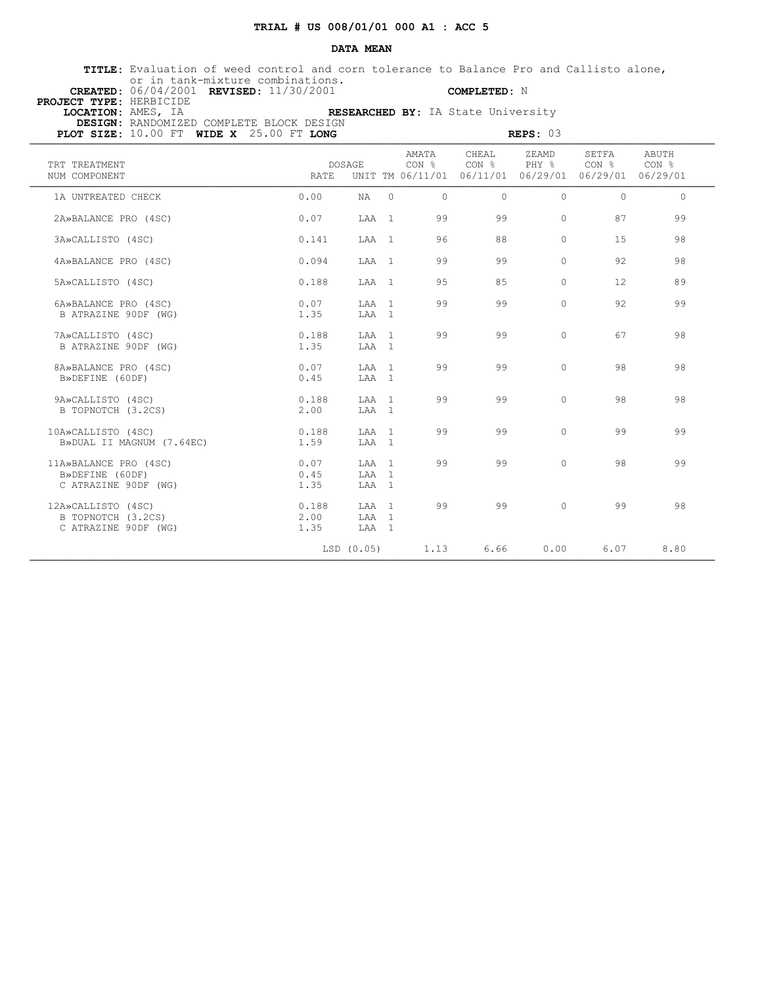### **DATA MEAN**

 **TITLE:** Evaluation of weed control and corn tolerance to Balance Pro and Callisto alone, or in tank-mixture combinations.

 **CREATED:** 06/04/2001 **REVISED:** 11/30/2001 **COMPLETED:** N

| <b>PROJECT TYPE: HERBICIDE</b> |                                                                               |  |
|--------------------------------|-------------------------------------------------------------------------------|--|
| LOCATION: AMES, IA             | RESEARCHED BY: IA State University                                            |  |
|                                | DESIGN: RANDOMIZED COMPLETE BLOCK DESIGN                                      |  |
|                                | <b>PLOT SIZE:</b> $10.00$ FT <b>WIDE X</b> $25.00$ FT <b>LONG</b><br>REPS: 03 |  |

| PLOT SIZE: 10.00 FT WIDE X 25.00 FT LONG                         |                       | REPS: 03                |          |                |                                                                                   |                |                           |                |  |
|------------------------------------------------------------------|-----------------------|-------------------------|----------|----------------|-----------------------------------------------------------------------------------|----------------|---------------------------|----------------|--|
| TRT TREATMENT<br>NUM COMPONENT                                   | <b>RATE</b>           | DOSAGE                  |          | AMATA<br>CON % | CHEAL<br>CON <sub>8</sub><br>UNIT TM 06/11/01 06/11/01 06/29/01 06/29/01 06/29/01 | ZEAMD<br>PHY % | SETFA<br>CON <sub>8</sub> | ABUTH<br>CON % |  |
| 1A UNTREATED CHECK                                               | 0.00                  | NA                      | $\Omega$ | $\Omega$       | $\Omega$                                                                          | $\circ$        | $\Omega$                  | $\Omega$       |  |
| 2A»BALANCE PRO (4SC)                                             | 0.07                  | LAA 1                   |          | 99             | 99                                                                                | $\circ$        | 87                        | 99             |  |
| 3A»CALLISTO (4SC)                                                | 0.141                 | LAA 1                   |          | 96             | 88                                                                                | $\circ$        | 15                        | 98             |  |
| 4A»BALANCE PRO (4SC)                                             | 0.094                 | LAA 1                   |          | 99             | 99                                                                                | $\Omega$       | 92                        | 98             |  |
| 5A»CALLISTO (4SC)                                                | 0.188                 | LAA 1                   |          | 9.5            | 85                                                                                | $\Omega$       | 12.                       | 89             |  |
| 6A»BALANCE PRO (4SC)<br>B ATRAZINE 90DF (WG)                     | 0.07<br>1.35          | LAA 1<br>LAA 1          |          | 99             | 99                                                                                | $\circ$        | 92                        | 99             |  |
| 7A»CALLISTO (4SC)<br>B ATRAZINE 90DF (WG)                        | 0.188<br>1.35         | LAA 1<br>LAA 1          |          | 99             | 99                                                                                | $\Omega$       | 67                        | 98             |  |
| 8A»BALANCE PRO (4SC)<br>B»DEFINE (60DF)                          | 0.07<br>0.45          | LAA 1<br>LAA 1          |          | 99             | 99                                                                                | $\circ$        | 98                        | 98             |  |
| 9A»CALLISTO (4SC)<br>B TOPNOTCH (3.2CS)                          | 0.188<br>2.00         | LAA 1<br>LAA 1          |          | 99             | 99                                                                                | $\Omega$       | 98                        | 98             |  |
| 10A»CALLISTO (4SC)<br>B»DUAL II MAGNUM (7.64EC)                  | 0.188<br>1.59         | LAA 1<br>LAA 1          |          | 99             | 99                                                                                | $\Omega$       | 99                        | 99             |  |
| 11A»BALANCE PRO (4SC)<br>B»DEFINE (60DF)<br>C ATRAZINE 90DF (WG) | 0.07<br>0.45<br>1.35  | LAA 1<br>LAA 1<br>LAA 1 |          | 99             | 99                                                                                | $\Omega$       | 98                        | 99             |  |
| 12A»CALLISTO (4SC)<br>B TOPNOTCH (3.2CS)<br>C ATRAZINE 90DF (WG) | 0.188<br>2.00<br>1.35 | LAA 1<br>LAA 1<br>LAA 1 |          | 99             | 99                                                                                | $\Omega$       | 99                        | 98             |  |
|                                                                  |                       | LSD (0.05)              |          | 1.13           | 6.66                                                                              | 0.00           | 6.07                      | 8.80           |  |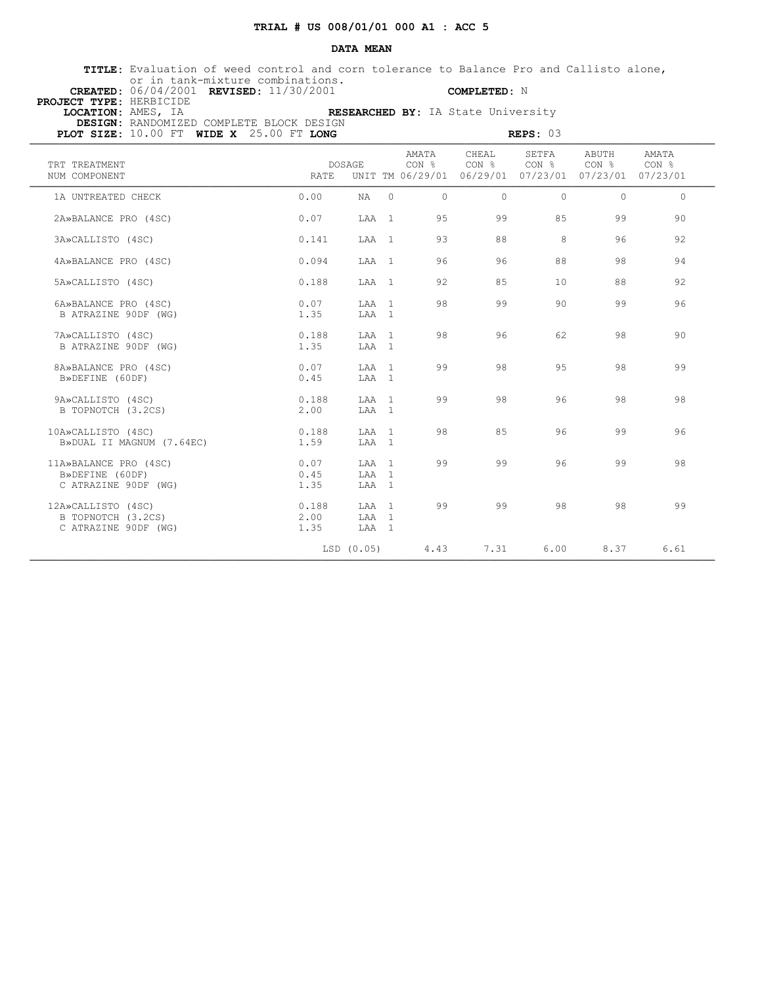### **DATA MEAN**

 **TITLE:** Evaluation of weed control and corn tolerance to Balance Pro and Callisto alone, or in tank-mixture combinations.

 **CREATED:** 06/04/2001 **REVISED:** 11/30/2001 **COMPLETED:** N

| PROJECT TYPE: HERBICIDE |                                              |                                    |
|-------------------------|----------------------------------------------|------------------------------------|
| LOCATION: AMES, IA      |                                              | RESEARCHED BY: IA State University |
|                         | DESIGN: RANDOMIZED COMPLETE BLOCK DESIGN     |                                    |
|                         | PLOT STZE: $10.00$ FT wide $x$ 25.00 FT LONG | REPS: 03                           |

| PLOT SIZE: 10.00 FT WIDE X 25.00 FT LONG                         |                       | REPS: 03                |          |                |                                                                        |                 |                |                |  |
|------------------------------------------------------------------|-----------------------|-------------------------|----------|----------------|------------------------------------------------------------------------|-----------------|----------------|----------------|--|
| TRT TREATMENT<br>NUM COMPONENT                                   | <b>RATE</b>           | DOSAGE                  |          | AMATA<br>CON % | CHEAL<br>CON %<br>UNIT TM 06/29/01 06/29/01 07/23/01 07/23/01 07/23/01 | SETFA<br>CON %  | ABUTH<br>CON % | AMATA<br>CON % |  |
| 1A UNTREATED CHECK                                               | 0.00                  | NA                      | $\Omega$ | $\Omega$       | $\Omega$                                                               | $\Omega$        | $\Omega$       | $\Omega$       |  |
| 2A»BALANCE PRO (4SC)                                             | 0.07                  | LAA 1                   |          | 95             | 99                                                                     | 85              | 99             | 90             |  |
| 3A»CALLISTO (4SC)                                                | 0.141                 | LAA 1                   |          | 93             | 88                                                                     | 8               | 96             | 92             |  |
| 4A»BALANCE PRO (4SC)                                             | 0.094                 | LAA 1                   |          | 96             | 96                                                                     | 88              | 98             | 94             |  |
| 5A»CALLISTO (4SC)                                                | 0.188                 | LAA 1                   |          | 92             | 85                                                                     | 10 <sup>1</sup> | 88             | 92             |  |
| 6A»BALANCE PRO (4SC)<br>B ATRAZINE 90DF (WG)                     | 0.07<br>1.35          | LAA 1<br>LAA 1          |          | 98             | 99                                                                     | 90              | 99             | 96             |  |
| 7A»CALLISTO (4SC)<br>B ATRAZINE 90DF (WG)                        | 0.188<br>1.35         | LAA 1<br>LAA 1          |          | 98             | 96                                                                     | 62              | 98             | 90             |  |
| 8A»BALANCE PRO (4SC)<br>B»DEFINE (60DF)                          | 0.07<br>0.45          | LAA 1<br>LAA 1          |          | 99             | 98                                                                     | 95              | 98             | 99             |  |
| 9A»CALLISTO (4SC)<br>B TOPNOTCH (3.2CS)                          | 0.188<br>2.00         | LAA 1<br>LAA 1          |          | 99             | 98                                                                     | 96              | 98             | 98             |  |
| 10A»CALLISTO (4SC)<br>B»DUAL II MAGNUM (7.64EC)                  | 0.188<br>1.59         | LAA 1<br>LAA 1          |          | 98             | 85                                                                     | 96              | 99             | 96             |  |
| 11A»BALANCE PRO (4SC)<br>B»DEFINE (60DF)<br>C ATRAZINE 90DF (WG) | 0.07<br>0.45<br>1.35  | LAA 1<br>LAA 1<br>LAA 1 |          | 99             | 99                                                                     | 96              | 99             | 98             |  |
| 12A»CALLISTO (4SC)<br>B TOPNOTCH (3.2CS)<br>C ATRAZINE 90DF (WG) | 0.188<br>2.00<br>1.35 | LAA 1<br>LAA 1<br>LAA 1 |          | 99             | 99                                                                     | 98              | 98             | 99             |  |
|                                                                  |                       | LSD (0.05)              |          | 4.43           | 7.31                                                                   | 6.00            | 8.37           | 6.61           |  |